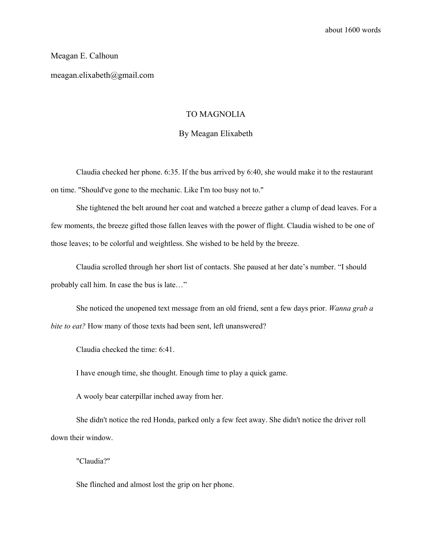## Meagan E. Calhoun

meagan.elixabeth@gmail.com

## TO MAGNOLIA

## By Meagan Elixabeth

Claudia checked her phone. 6:35. If the bus arrived by 6:40, she would make it to the restaurant on time. "Should've gone to the mechanic. Like I'm too busy not to."

She tightened the belt around her coat and watched a breeze gather a clump of dead leaves. For a few moments, the breeze gifted those fallen leaves with the power of flight. Claudia wished to be one of those leaves; to be colorful and weightless. She wished to be held by the breeze.

Claudia scrolled through her short list of contacts. She paused at her date's number. "I should probably call him. In case the bus is late…"

She noticed the unopened text message from an old friend, sent a few days prior. *Wanna grab a bite to eat?* How many of those texts had been sent, left unanswered?

Claudia checked the time: 6:41.

I have enough time, she thought. Enough time to play a quick game.

A wooly bear caterpillar inched away from her.

She didn't notice the red Honda, parked only a few feet away. She didn't notice the driver roll down their window.

"Claudia?"

She flinched and almost lost the grip on her phone.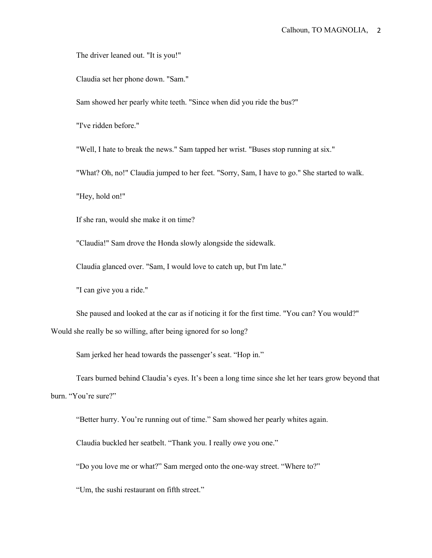The driver leaned out. "It is you!"

Claudia set her phone down. "Sam."

Sam showed her pearly white teeth. "Since when did you ride the bus?"

"I've ridden before."

"Well, I hate to break the news." Sam tapped her wrist. "Buses stop running at six."

"What? Oh, no!" Claudia jumped to her feet. "Sorry, Sam, I have to go." She started to walk.

"Hey, hold on!"

If she ran, would she make it on time?

"Claudia!" Sam drove the Honda slowly alongside the sidewalk.

Claudia glanced over. "Sam, I would love to catch up, but I'm late."

"I can give you a ride."

She paused and looked at the car as if noticing it for the first time. "You can? You would?" Would she really be so willing, after being ignored for so long?

Sam jerked her head towards the passenger's seat. "Hop in."

Tears burned behind Claudia's eyes. It's been a long time since she let her tears grow beyond that burn. "You're sure?"

"Better hurry. You're running out of time." Sam showed her pearly whites again.

Claudia buckled her seatbelt. "Thank you. I really owe you one."

"Do you love me or what?" Sam merged onto the one-way street. "Where to?"

"Um, the sushi restaurant on fifth street."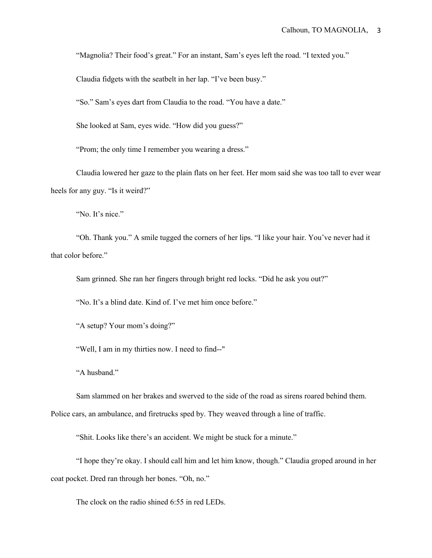"Magnolia? Their food's great." For an instant, Sam's eyes left the road. "I texted you."

Claudia fidgets with the seatbelt in her lap. "I've been busy."

"So." Sam's eyes dart from Claudia to the road. "You have a date."

She looked at Sam, eyes wide. "How did you guess?"

"Prom; the only time I remember you wearing a dress."

Claudia lowered her gaze to the plain flats on her feet. Her mom said she was too tall to ever wear heels for any guy. "Is it weird?"

"No. It's nice."

"Oh. Thank you." A smile tugged the corners of her lips. "I like your hair. You've never had it that color before."

Sam grinned. She ran her fingers through bright red locks. "Did he ask you out?"

"No. It's a blind date. Kind of. I've met him once before."

"A setup? Your mom's doing?"

"Well, I am in my thirties now. I need to find--"

"A husband."

Sam slammed on her brakes and swerved to the side of the road as sirens roared behind them.

Police cars, an ambulance, and firetrucks sped by. They weaved through a line of traffic.

"Shit. Looks like there's an accident. We might be stuck for a minute."

"I hope they're okay. I should call him and let him know, though." Claudia groped around in her coat pocket. Dred ran through her bones. "Oh, no."

The clock on the radio shined 6:55 in red LEDs.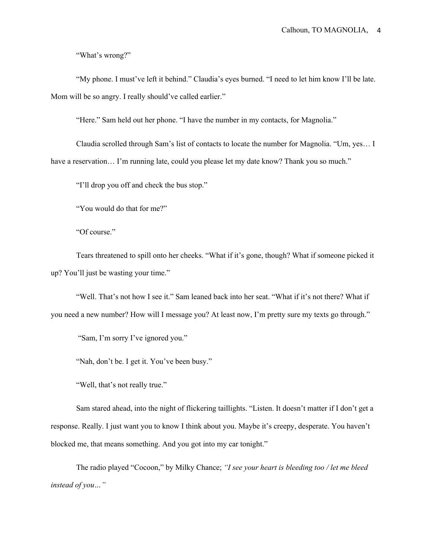"What's wrong?"

"My phone. I must've left it behind." Claudia's eyes burned. "I need to let him know I'll be late. Mom will be so angry. I really should've called earlier."

"Here." Sam held out her phone. "I have the number in my contacts, for Magnolia."

Claudia scrolled through Sam's list of contacts to locate the number for Magnolia. "Um, yes… I have a reservation... I'm running late, could you please let my date know? Thank you so much."

"I'll drop you off and check the bus stop."

"You would do that for me?"

"Of course."

Tears threatened to spill onto her cheeks. "What if it's gone, though? What if someone picked it up? You'll just be wasting your time."

"Well. That's not how I see it." Sam leaned back into her seat. "What if it's not there? What if you need a new number? How will I message you? At least now, I'm pretty sure my texts go through."

"Sam, I'm sorry I've ignored you."

"Nah, don't be. I get it. You've been busy."

"Well, that's not really true."

Sam stared ahead, into the night of flickering taillights. "Listen. It doesn't matter if I don't get a response. Really. I just want you to know I think about you. Maybe it's creepy, desperate. You haven't blocked me, that means something. And you got into my car tonight."

The radio played "Cocoon," by Milky Chance; *"I see your heart is bleeding too / let me bleed instead of you…"*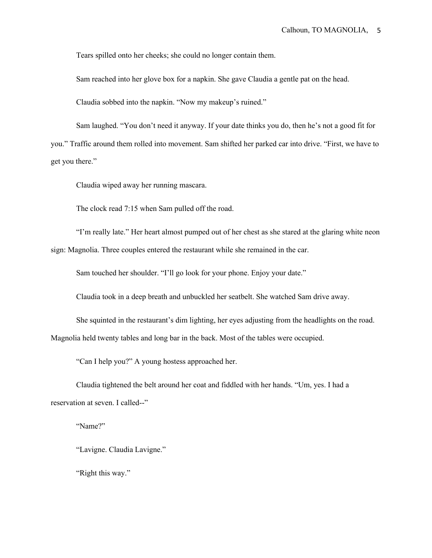Tears spilled onto her cheeks; she could no longer contain them.

Sam reached into her glove box for a napkin. She gave Claudia a gentle pat on the head.

Claudia sobbed into the napkin. "Now my makeup's ruined."

Sam laughed. "You don't need it anyway. If your date thinks you do, then he's not a good fit for you." Traffic around them rolled into movement. Sam shifted her parked car into drive. "First, we have to get you there."

Claudia wiped away her running mascara.

The clock read 7:15 when Sam pulled off the road.

"I'm really late." Her heart almost pumped out of her chest as she stared at the glaring white neon sign: Magnolia. Three couples entered the restaurant while she remained in the car.

Sam touched her shoulder. "I'll go look for your phone. Enjoy your date."

Claudia took in a deep breath and unbuckled her seatbelt. She watched Sam drive away.

She squinted in the restaurant's dim lighting, her eyes adjusting from the headlights on the road. Magnolia held twenty tables and long bar in the back. Most of the tables were occupied.

"Can I help you?" A young hostess approached her.

Claudia tightened the belt around her coat and fiddled with her hands. "Um, yes. I had a reservation at seven. I called--"

"Name?"

"Lavigne. Claudia Lavigne."

"Right this way."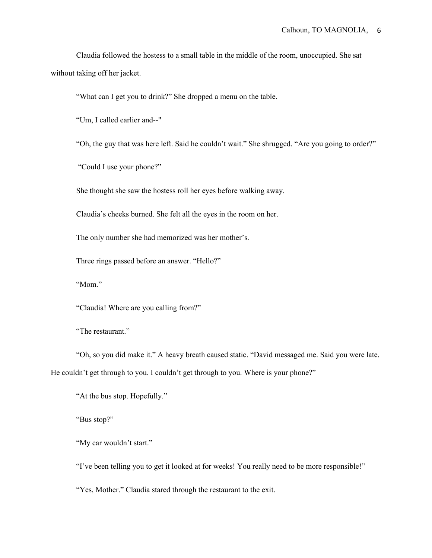Claudia followed the hostess to a small table in the middle of the room, unoccupied. She sat without taking off her jacket.

"What can I get you to drink?" She dropped a menu on the table.

"Um, I called earlier and--"

"Oh, the guy that was here left. Said he couldn't wait." She shrugged. "Are you going to order?"

"Could I use your phone?"

She thought she saw the hostess roll her eyes before walking away.

Claudia's cheeks burned. She felt all the eyes in the room on her.

The only number she had memorized was her mother's.

Three rings passed before an answer. "Hello?"

"Mom."

"Claudia! Where are you calling from?"

"The restaurant."

"Oh, so you did make it." A heavy breath caused static. "David messaged me. Said you were late. He couldn't get through to you. I couldn't get through to you. Where is your phone?"

"At the bus stop. Hopefully."

"Bus stop?"

"My car wouldn't start."

"I've been telling you to get it looked at for weeks! You really need to be more responsible!"

"Yes, Mother." Claudia stared through the restaurant to the exit.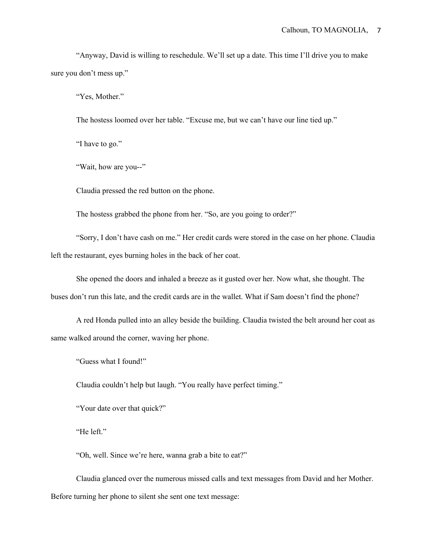"Anyway, David is willing to reschedule. We'll set up a date. This time I'll drive you to make sure you don't mess up."

"Yes, Mother."

The hostess loomed over her table. "Excuse me, but we can't have our line tied up."

"I have to go."

"Wait, how are you--"

Claudia pressed the red button on the phone.

The hostess grabbed the phone from her. "So, are you going to order?"

"Sorry, I don't have cash on me." Her credit cards were stored in the case on her phone. Claudia left the restaurant, eyes burning holes in the back of her coat.

She opened the doors and inhaled a breeze as it gusted over her. Now what, she thought. The buses don't run this late, and the credit cards are in the wallet. What if Sam doesn't find the phone?

A red Honda pulled into an alley beside the building. Claudia twisted the belt around her coat as same walked around the corner, waving her phone.

"Guess what I found!"

Claudia couldn't help but laugh. "You really have perfect timing."

"Your date over that quick?"

"He left."

"Oh, well. Since we're here, wanna grab a bite to eat?"

Claudia glanced over the numerous missed calls and text messages from David and her Mother. Before turning her phone to silent she sent one text message: